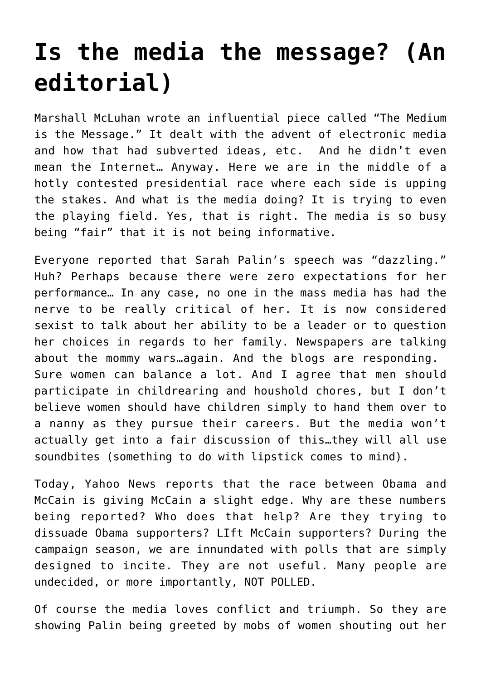## **[Is the media the message? \(An](https://deborahbrody.com/2008/09/is-the-media-the-message-an-editorial/) [editorial\)](https://deborahbrody.com/2008/09/is-the-media-the-message-an-editorial/)**

Marshall McLuhan wrote an influential piece called "The Medium is the Message." It dealt with the advent of electronic media and how that had subverted ideas, etc. And he didn't even mean the Internet… Anyway. Here we are in the middle of a hotly contested presidential race where each side is upping the stakes. And what is the media doing? It is trying to even the playing field. Yes, that is right. The media is so busy being "fair" that it is not being informative.

Everyone reported that Sarah Palin's speech was "dazzling." Huh? Perhaps because there were zero expectations for her performance… In any case, no one in the mass media has had the nerve to be really critical of her. It is now considered sexist to talk about her ability to be a leader or to question her choices in regards to her family. Newspapers are talking about the mommy wars…again. And the blogs are responding. Sure women can balance a lot. And I agree that men should participate in childrearing and houshold chores, but I don't believe women should have children simply to hand them over to a nanny as they pursue their careers. But the media won't actually get into a fair discussion of this…they will all use soundbites (something to do with lipstick comes to mind).

Today, Yahoo News reports that the race between Obama and McCain is giving McCain a slight edge. Why are these numbers being reported? Who does that help? Are they trying to dissuade Obama supporters? LIft McCain supporters? During the campaign season, we are innundated with polls that are simply designed to incite. They are not useful. Many people are undecided, or more importantly, NOT POLLED.

Of course the media loves conflict and triumph. So they are showing Palin being greeted by mobs of women shouting out her